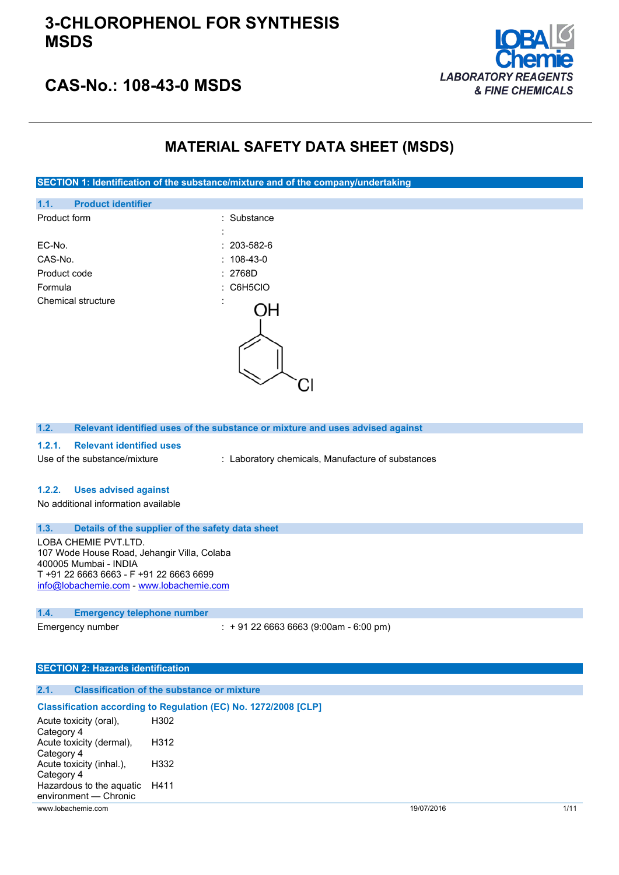### **3-CHLOROPHENOL FOR SYNTHESIS MSDS**



### **CAS-No.: 108-43-0 MSDS**

### **MATERIAL SAFETY DATA SHEET (MSDS)**

### **SECTION 1: Identification of the substance/mixture and of the company/undertaking**

| <b>Product identifier</b><br>1.1. |                   |
|-----------------------------------|-------------------|
| Product form                      | : Substance       |
|                                   | ٠<br>$\cdot$      |
| EC-No.                            | $: 203 - 582 - 6$ |
| CAS-No.                           | $: 108 - 43 - 0$  |
| Product code                      | : 2768D           |
| Formula                           | $:$ C6H5CIO       |
| Chemical structure                | t<br>١Н           |
|                                   |                   |

**1.2. Relevant identified uses of the substance or mixture and uses advised against**

#### **1.2.1. Relevant identified uses**

Use of the substance/mixture : Laboratory chemicals, Manufacture of substances

#### **1.2.2. Uses advised against**

No additional information available

### **1.3. Details of the supplier of the safety data sheet**

LOBA CHEMIE PVT.LTD. 107 Wode House Road, Jehangir Villa, Colaba 400005 Mumbai - INDIA T +91 22 6663 6663 - F +91 22 6663 6699 [info@lobachemie.com](mailto:info@lobachemie.com) - <www.lobachemie.com>

#### **1.4. Emergency telephone number**

Emergency number : + 91 22 6663 6663 (9:00am - 6:00 pm)

#### **SECTION 2: Hazards identification**

| 2.1. | <b>Classification of the substance or mixture</b> |  |  |
|------|---------------------------------------------------|--|--|
|      |                                                   |  |  |

|                          | Classification according to Regulation (EC) No. 1272/2008 [CLP] |
|--------------------------|-----------------------------------------------------------------|
| Acute toxicity (oral).   | H302                                                            |
| Category 4               |                                                                 |
| Acute toxicity (dermal), | H312                                                            |
| Category 4               |                                                                 |
| Acute toxicity (inhal.), | H332                                                            |
| Category 4               |                                                                 |
| Hazardous to the aguatic | H411                                                            |
| environment - Chronic    |                                                                 |

www.lobachemie.com 19/07/2016 1/11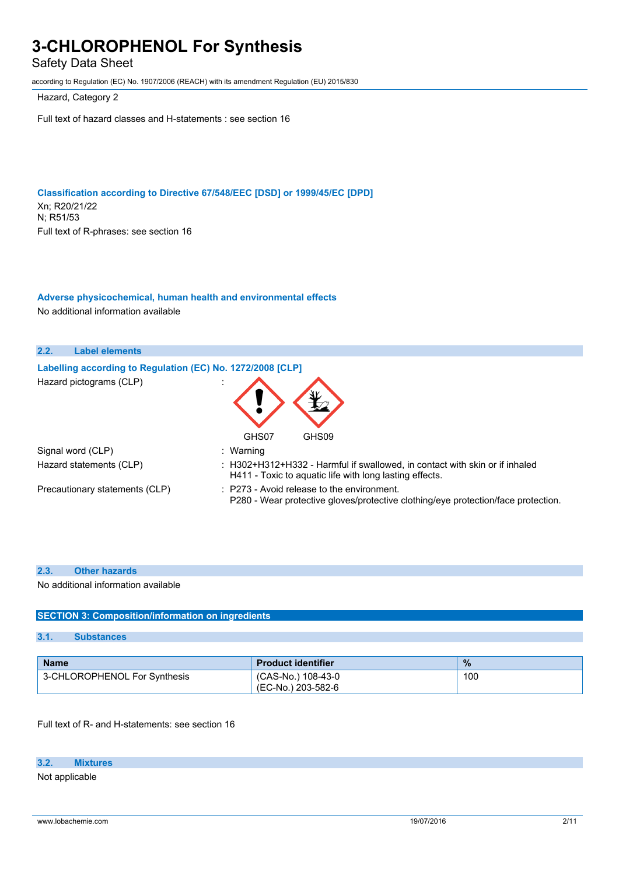Safety Data Sheet

according to Regulation (EC) No. 1907/2006 (REACH) with its amendment Regulation (EU) 2015/830

Hazard, Category 2

Full text of hazard classes and H-statements : see section 16

**Classification according to Directive 67/548/EEC [DSD] or 1999/45/EC [DPD]** Xn; R20/21/22 N; R51/53 Full text of R-phrases: see section 16

### **Adverse physicochemical, human health and environmental effects**

No additional information available



#### **2.3. Other hazards**

No additional information available

### **SECTION 3: Composition/information on ingredients**

#### **3.1. Substances**

| <b>Name</b>                  | <b>Product identifier</b>                | $\frac{9}{6}$ |
|------------------------------|------------------------------------------|---------------|
| 3-CHLOROPHENOL For Synthesis | (CAS-No.) 108-43-0<br>(EC-No.) 203-582-6 | 100           |

Full text of R- and H-statements: see section 16

#### **3.2. Mixtures**

Not applicable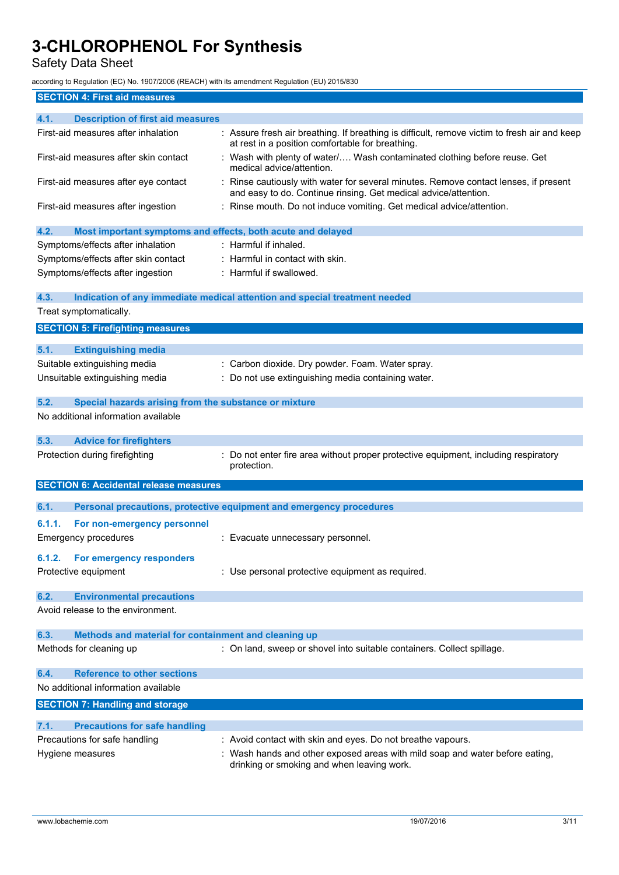Safety Data Sheet

according to Regulation (EC) No. 1907/2006 (REACH) with its amendment Regulation (EU) 2015/830

| <b>SECTION 4: First aid measures</b>                                |                                                                                                                                                         |
|---------------------------------------------------------------------|---------------------------------------------------------------------------------------------------------------------------------------------------------|
| 4.1.<br><b>Description of first aid measures</b>                    |                                                                                                                                                         |
| First-aid measures after inhalation                                 | : Assure fresh air breathing. If breathing is difficult, remove victim to fresh air and keep<br>at rest in a position comfortable for breathing.        |
| First-aid measures after skin contact                               | : Wash with plenty of water/ Wash contaminated clothing before reuse. Get<br>medical advice/attention.                                                  |
| First-aid measures after eye contact                                | : Rinse cautiously with water for several minutes. Remove contact lenses, if present<br>and easy to do. Continue rinsing. Get medical advice/attention. |
| First-aid measures after ingestion                                  | : Rinse mouth. Do not induce vomiting. Get medical advice/attention.                                                                                    |
| 4.2.<br>Most important symptoms and effects, both acute and delayed |                                                                                                                                                         |
| Symptoms/effects after inhalation                                   | : Harmful if inhaled.                                                                                                                                   |
| Symptoms/effects after skin contact                                 | : Harmful in contact with skin.                                                                                                                         |
| Symptoms/effects after ingestion                                    | : Harmful if swallowed.                                                                                                                                 |
| 4.3.<br>Treat symptomatically.                                      | Indication of any immediate medical attention and special treatment needed                                                                              |
| <b>SECTION 5: Firefighting measures</b>                             |                                                                                                                                                         |
|                                                                     |                                                                                                                                                         |
| 5.1.<br><b>Extinguishing media</b>                                  |                                                                                                                                                         |
| Suitable extinguishing media                                        | : Carbon dioxide. Dry powder. Foam. Water spray.                                                                                                        |
| Unsuitable extinguishing media                                      | : Do not use extinguishing media containing water.                                                                                                      |
| 5.2.<br>Special hazards arising from the substance or mixture       |                                                                                                                                                         |
| No additional information available                                 |                                                                                                                                                         |
| 5.3.<br><b>Advice for firefighters</b>                              |                                                                                                                                                         |
| Protection during firefighting                                      | : Do not enter fire area without proper protective equipment, including respiratory<br>protection.                                                      |
| <b>SECTION 6: Accidental release measures</b>                       |                                                                                                                                                         |
| 6.1.                                                                | Personal precautions, protective equipment and emergency procedures                                                                                     |
| 6.1.1.                                                              |                                                                                                                                                         |
| For non-emergency personnel<br><b>Emergency procedures</b>          |                                                                                                                                                         |
|                                                                     | : Evacuate unnecessary personnel.                                                                                                                       |
| 6.1.2. For emergency responders                                     |                                                                                                                                                         |
| Protective equipment                                                | : Use personal protective equipment as required.                                                                                                        |
| 6.2.<br><b>Environmental precautions</b>                            |                                                                                                                                                         |
| Avoid release to the environment.                                   |                                                                                                                                                         |
| 6.3.<br>Methods and material for containment and cleaning up        |                                                                                                                                                         |
| Methods for cleaning up                                             | : On land, sweep or shovel into suitable containers. Collect spillage.                                                                                  |
| <b>Reference to other sections</b><br>6.4.                          |                                                                                                                                                         |
| No additional information available                                 |                                                                                                                                                         |
| <b>SECTION 7: Handling and storage</b>                              |                                                                                                                                                         |
| 7.1.<br><b>Precautions for safe handling</b>                        |                                                                                                                                                         |
| Precautions for safe handling                                       | : Avoid contact with skin and eyes. Do not breathe vapours.                                                                                             |
| Hygiene measures                                                    | : Wash hands and other exposed areas with mild soap and water before eating,<br>drinking or smoking and when leaving work.                              |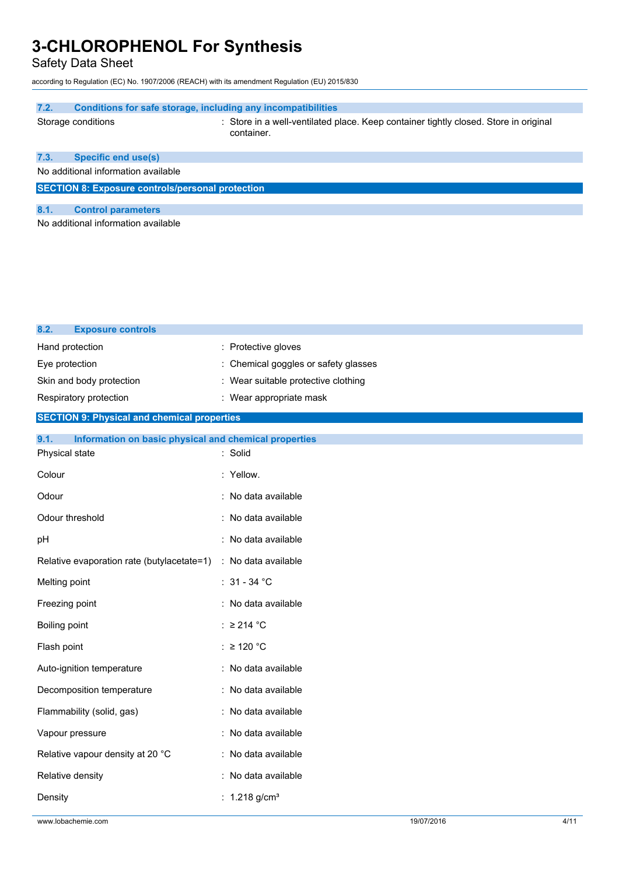Safety Data Sheet

according to Regulation (EC) No. 1907/2006 (REACH) with its amendment Regulation (EU) 2015/830

| 7.2.                                                    | Conditions for safe storage, including any incompatibilities                                       |
|---------------------------------------------------------|----------------------------------------------------------------------------------------------------|
| Storage conditions                                      | : Store in a well-ventilated place. Keep container tightly closed. Store in original<br>container. |
| <b>Specific end use(s)</b><br>7.3.                      |                                                                                                    |
| No additional information available                     |                                                                                                    |
| <b>SECTION 8: Exposure controls/personal protection</b> |                                                                                                    |
| <b>Control parameters</b><br>8.1.                       |                                                                                                    |
| No additional information available                     |                                                                                                    |
|                                                         |                                                                                                    |
|                                                         |                                                                                                    |

| <b>Exposure controls</b><br>8.2.                              |                                    |
|---------------------------------------------------------------|------------------------------------|
| Hand protection                                               | : Protective gloves                |
| Eye protection                                                | Chemical goggles or safety glasses |
| Skin and body protection                                      | Wear suitable protective clothing  |
| Respiratory protection                                        | : Wear appropriate mask            |
| <b>SECTION 9: Physical and chemical properties</b>            |                                    |
| 9.1.<br>Information on basic physical and chemical properties |                                    |
| Physical state                                                | : Solid                            |
| Colour                                                        | : Yellow.                          |
| Odour                                                         | : No data available                |
| Odour threshold                                               | : No data available                |
| pH                                                            | : No data available                |
| Relative evaporation rate (butylacetate=1)                    | : No data available                |
| Melting point                                                 | : $31 - 34$ °C                     |
| Freezing point                                                | : No data available                |
| Boiling point                                                 | : $\geq$ 214 °C                    |
| Flash point                                                   | : $\geq$ 120 °C                    |
| Auto-ignition temperature                                     | : No data available                |
| Decomposition temperature                                     | : No data available                |
| Flammability (solid, gas)                                     | : No data available                |
| Vapour pressure                                               | : No data available                |
| Relative vapour density at 20 °C                              | : No data available                |
| Relative density                                              | : No data available                |
| Density                                                       | : $1.218$ g/cm <sup>3</sup>        |
|                                                               |                                    |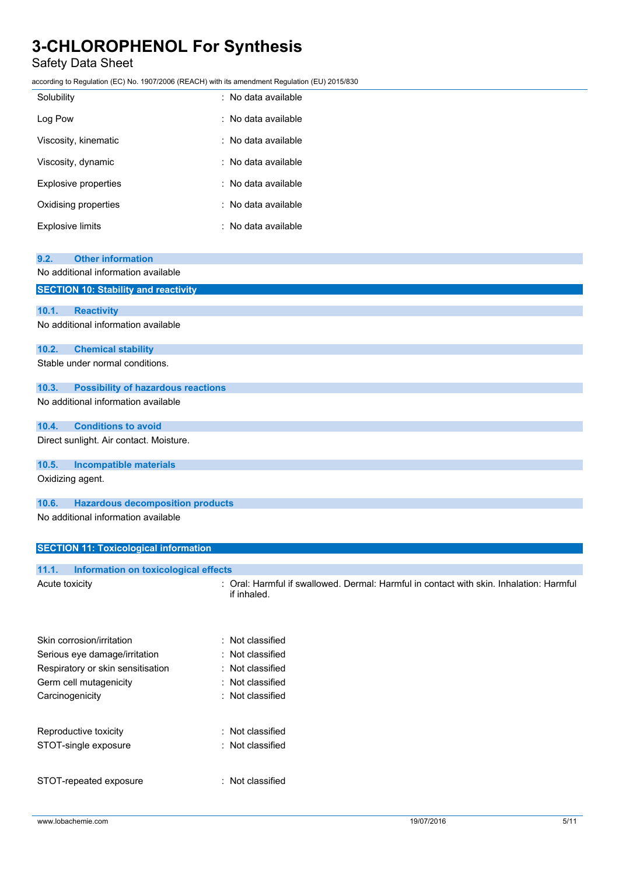### Safety Data Sheet

according to Regulation (EC) No. 1907/2006 (REACH) with its amendment Regulation (EU) 2015/830

| Solubility                  | : No data available |
|-----------------------------|---------------------|
| Log Pow                     | : No data available |
| Viscosity, kinematic        | : No data available |
| Viscosity, dynamic          | : No data available |
| <b>Explosive properties</b> | : No data available |
| Oxidising properties        | : No data available |
| <b>Explosive limits</b>     | : No data available |

| 9.2.                                    | <b>Other information</b>                     |  |
|-----------------------------------------|----------------------------------------------|--|
|                                         | No additional information available          |  |
|                                         | <b>SECTION 10: Stability and reactivity</b>  |  |
| 10.1.<br><b>Reactivity</b>              |                                              |  |
|                                         | No additional information available          |  |
| 10.2.                                   | <b>Chemical stability</b>                    |  |
| Stable under normal conditions.         |                                              |  |
| 10.3.                                   | <b>Possibility of hazardous reactions</b>    |  |
|                                         | No additional information available          |  |
| 10.4.                                   | <b>Conditions to avoid</b>                   |  |
| Direct sunlight. Air contact. Moisture. |                                              |  |
| 10.5.                                   | <b>Incompatible materials</b>                |  |
| Oxidizing agent.                        |                                              |  |
| 10.6.                                   | <b>Hazardous decomposition products</b>      |  |
|                                         | No additional information available          |  |
|                                         | <b>SECTION 11: Toxicological information</b> |  |

| Information on toxicological effects<br>11.1. |                                                                                                        |
|-----------------------------------------------|--------------------------------------------------------------------------------------------------------|
| Acute toxicity                                | : Oral: Harmful if swallowed. Dermal: Harmful in contact with skin. Inhalation: Harmful<br>if inhaled. |
| Skin corrosion/irritation                     | : Not classified                                                                                       |
| Serious eye damage/irritation                 | : Not classified                                                                                       |
| Respiratory or skin sensitisation             | : Not classified                                                                                       |
| Germ cell mutagenicity                        | : Not classified                                                                                       |
| Carcinogenicity                               | : Not classified                                                                                       |
| Reproductive toxicity                         | : Not classified                                                                                       |
| STOT-single exposure                          | : Not classified                                                                                       |
| STOT-repeated exposure                        | : Not classified                                                                                       |
|                                               |                                                                                                        |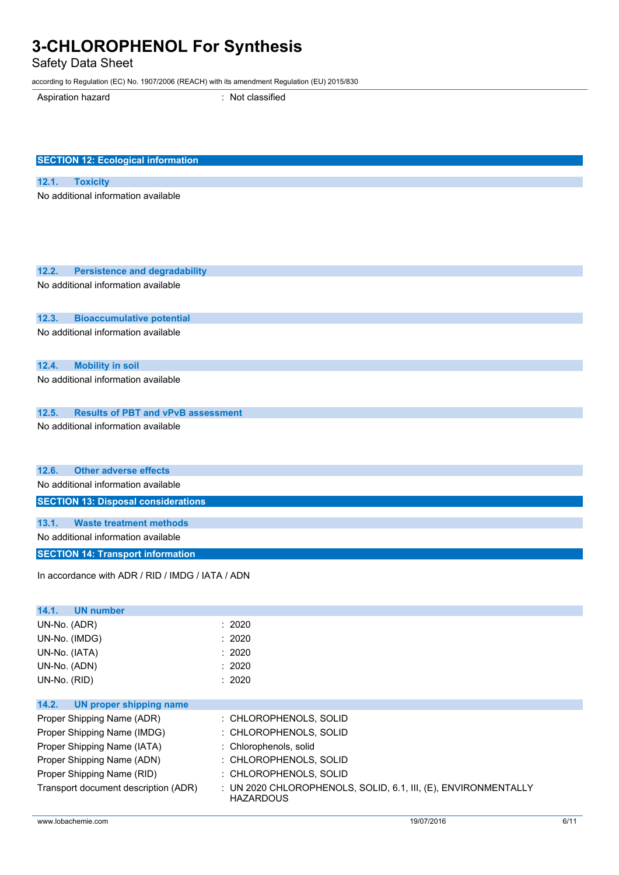Safety Data Sheet

according to Regulation (EC) No. 1907/2006 (REACH) with its amendment Regulation (EU) 2015/830

Aspiration hazard : Not classified

| <b>SECTION 12: Ecological information</b>                                                 |                                                                |
|-------------------------------------------------------------------------------------------|----------------------------------------------------------------|
| 12.1.<br><b>Toxicity</b>                                                                  |                                                                |
| No additional information available                                                       |                                                                |
|                                                                                           |                                                                |
|                                                                                           |                                                                |
|                                                                                           |                                                                |
|                                                                                           |                                                                |
| 12.2.<br><b>Persistence and degradability</b>                                             |                                                                |
| No additional information available                                                       |                                                                |
|                                                                                           |                                                                |
| 12.3.<br><b>Bioaccumulative potential</b>                                                 |                                                                |
| No additional information available                                                       |                                                                |
|                                                                                           |                                                                |
| 12.4.<br><b>Mobility in soil</b><br>No additional information available                   |                                                                |
|                                                                                           |                                                                |
|                                                                                           |                                                                |
| 12.5.<br><b>Results of PBT and vPvB assessment</b><br>No additional information available |                                                                |
|                                                                                           |                                                                |
|                                                                                           |                                                                |
| <b>Other adverse effects</b><br>12.6.                                                     |                                                                |
| No additional information available                                                       |                                                                |
| <b>SECTION 13: Disposal considerations</b>                                                |                                                                |
| <b>Waste treatment methods</b><br>13.1.                                                   |                                                                |
| No additional information available                                                       |                                                                |
| <b>SECTION 14: Transport information</b>                                                  |                                                                |
|                                                                                           |                                                                |
| In accordance with ADR / RID / IMDG / IATA / ADN                                          |                                                                |
|                                                                                           |                                                                |
| 14.1.<br><b>UN number</b>                                                                 |                                                                |
| UN-No. (ADR)                                                                              | : 2020                                                         |
| UN-No. (IMDG)                                                                             | 2020                                                           |
| UN-No. (IATA)<br>UN-No. (ADN)                                                             | 2020<br>: 2020                                                 |
| UN-No. (RID)                                                                              | : 2020                                                         |
|                                                                                           |                                                                |
| 14.2.<br><b>UN proper shipping name</b>                                                   |                                                                |
| Proper Shipping Name (ADR)                                                                | : CHLOROPHENOLS, SOLID                                         |
| Proper Shipping Name (IMDG)                                                               | : CHLOROPHENOLS, SOLID                                         |
| Proper Shipping Name (IATA)<br>Proper Shipping Name (ADN)                                 | : Chlorophenols, solid<br>: CHLOROPHENOLS, SOLID               |
| Proper Shipping Name (RID)                                                                | : CHLOROPHENOLS, SOLID                                         |
| Transport document description (ADR)                                                      | : UN 2020 CHLOROPHENOLS, SOLID, 6.1, III, (E), ENVIRONMENTALLY |
|                                                                                           | <b>HAZARDOUS</b>                                               |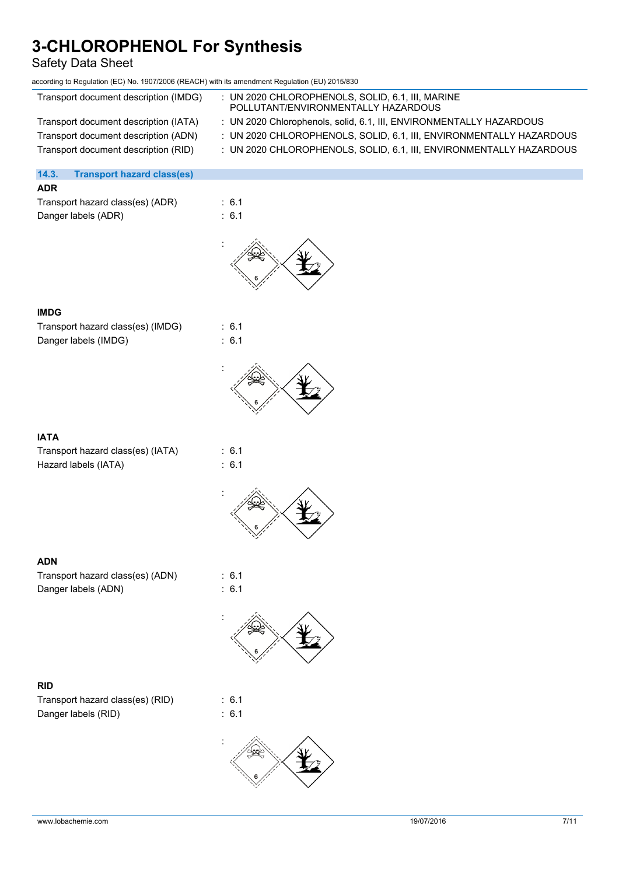### Safety Data Sheet

| according to Regulation (EC) No. 1907/2006 (REACH) with its amendment Regulation (EU) 2015/830 |                                                                                         |
|------------------------------------------------------------------------------------------------|-----------------------------------------------------------------------------------------|
| Transport document description (IMDG)                                                          | : UN 2020 CHLOROPHENOLS, SOLID, 6.1, III, MARINE<br>POLLUTANT/ENVIRONMENTALLY HAZARDOUS |
| Transport document description (IATA)                                                          | : UN 2020 Chlorophenols, solid, 6.1, III, ENVIRONMENTALLY HAZARDOUS                     |
| Transport document description (ADN)                                                           | : UN 2020 CHLOROPHENOLS, SOLID, 6.1, III, ENVIRONMENTALLY HAZARDOUS                     |
| Transport document description (RID)                                                           | : UN 2020 CHLOROPHENOLS, SOLID, 6.1, III, ENVIRONMENTALLY HAZARDOUS                     |
|                                                                                                |                                                                                         |
| 14.3.<br><b>Transport hazard class(es)</b>                                                     |                                                                                         |
| <b>ADR</b>                                                                                     |                                                                                         |
| Transport hazard class(es) (ADR)                                                               | : 6.1                                                                                   |
| Danger labels (ADR)                                                                            | : 6.1                                                                                   |
|                                                                                                |                                                                                         |
|                                                                                                |                                                                                         |
| <b>IMDG</b>                                                                                    |                                                                                         |
| Transport hazard class(es) (IMDG)                                                              | : 6.1                                                                                   |
|                                                                                                | : 6.1                                                                                   |
| Danger labels (IMDG)                                                                           |                                                                                         |
|                                                                                                |                                                                                         |
| <b>IATA</b>                                                                                    |                                                                                         |
| Transport hazard class(es) (IATA)                                                              | : 6.1                                                                                   |
| Hazard labels (IATA)                                                                           | : 6.1                                                                                   |
|                                                                                                |                                                                                         |
|                                                                                                |                                                                                         |
|                                                                                                |                                                                                         |
| <b>ADN</b>                                                                                     |                                                                                         |
| Transport hazard class(es) (ADN)                                                               | : 6.1                                                                                   |
| Danger labels (ADN)                                                                            | : 6.1                                                                                   |
|                                                                                                |                                                                                         |

### **RID**

Transport hazard class(es) (RID) : 6.1 Danger labels (RID) : 6.1

:

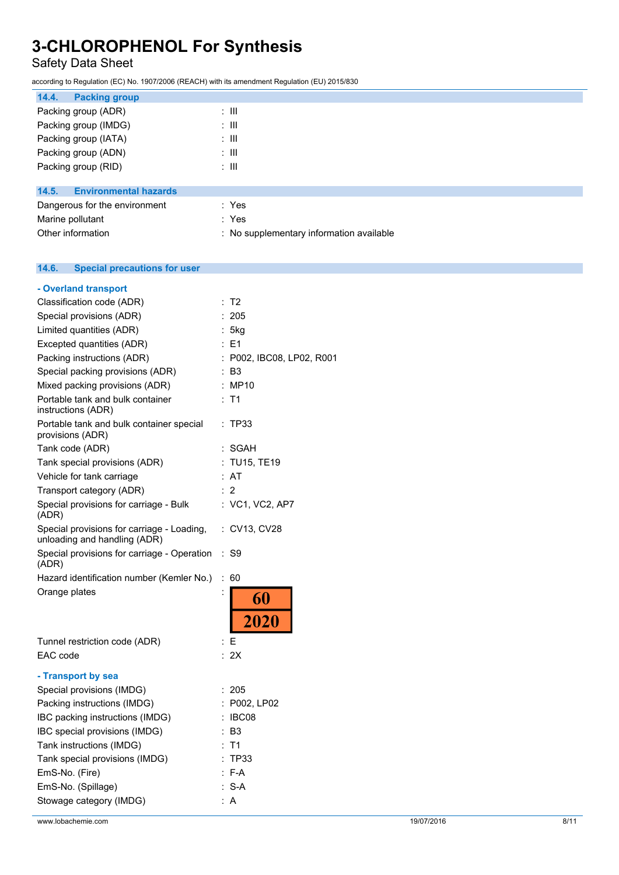### Safety Data Sheet

according to Regulation (EC) No. 1907/2006 (REACH) with its amendment Regulation (EU) 2015/830

Other information **contact to the contact of the Contract Contract Contract Contract Contract Contract Contract Contract Contract Contract Contract Contract Contract Contract Contract Contract Contract Contract Contract Co** 

| 14.4.<br><b>Packing group</b>         |                  |  |  |
|---------------------------------------|------------------|--|--|
| Packing group (ADR)                   | ÷ III            |  |  |
| Packing group (IMDG)                  | $\therefore$ III |  |  |
| Packing group (IATA)                  | $\therefore$ III |  |  |
| Packing group (ADN)                   | : III            |  |  |
| Packing group (RID)                   | $\therefore$ III |  |  |
| <b>Environmental hazards</b><br>14.5. |                  |  |  |
| Dangerous for the environment         | : Yes            |  |  |
| Marine pollutant                      | : Yes            |  |  |

#### 14.6. **14.6. Special precautions for user**

| - Overland transport                                                       |                              |
|----------------------------------------------------------------------------|------------------------------|
| Classification code (ADR)                                                  | T <sub>2</sub><br>÷.         |
| Special provisions (ADR)                                                   | : 205                        |
| Limited quantities (ADR)                                                   | : 5kg                        |
| Excepted quantities (ADR)                                                  | E1                           |
| Packing instructions (ADR)                                                 | : P002, IBC08, LP02, R001    |
| Special packing provisions (ADR)                                           | : B3                         |
| Mixed packing provisions (ADR)                                             | : MP10                       |
| Portable tank and bulk container<br>instructions (ADR)                     | : T1                         |
| Portable tank and bulk container special<br>provisions (ADR)               | <b>TP33</b>                  |
| Tank code (ADR)                                                            | SGAH                         |
| Tank special provisions (ADR)                                              | :TU15, TE19                  |
| Vehicle for tank carriage                                                  | : AT                         |
| Transport category (ADR)                                                   | : 2                          |
| Special provisions for carriage - Bulk<br>(ADR)                            | : VC1, VC2, AP7              |
| Special provisions for carriage - Loading,<br>unloading and handling (ADR) | : CV13, CV28                 |
| Special provisions for carriage - Operation<br>(ADR)                       | $:$ S9                       |
| Hazard identification number (Kemler No.)                                  | ÷<br>60                      |
| Orange plates                                                              | $\ddot{\cdot}$<br>60<br>2020 |
| Tunnel restriction code (ADR)                                              | : Е                          |
| EAC code                                                                   | : 2X                         |
| - Transport by sea                                                         |                              |
| Special provisions (IMDG)                                                  | : 205                        |
| Packing instructions (IMDG)                                                | : P002, LP02                 |
| IBC packing instructions (IMDG)                                            | $\ddot{\cdot}$<br>IBC08      |
| IBC special provisions (IMDG)                                              | - B3                         |
| Tank instructions (IMDG)                                                   | T <sub>1</sub>               |
| Tank special provisions (IMDG)                                             | TP33                         |
| EmS-No. (Fire)                                                             | $: F-A$                      |
| EmS-No. (Spillage)                                                         | $: S-A$                      |
| Stowage category (IMDG)                                                    | A                            |

www.lobachemie.com 8/11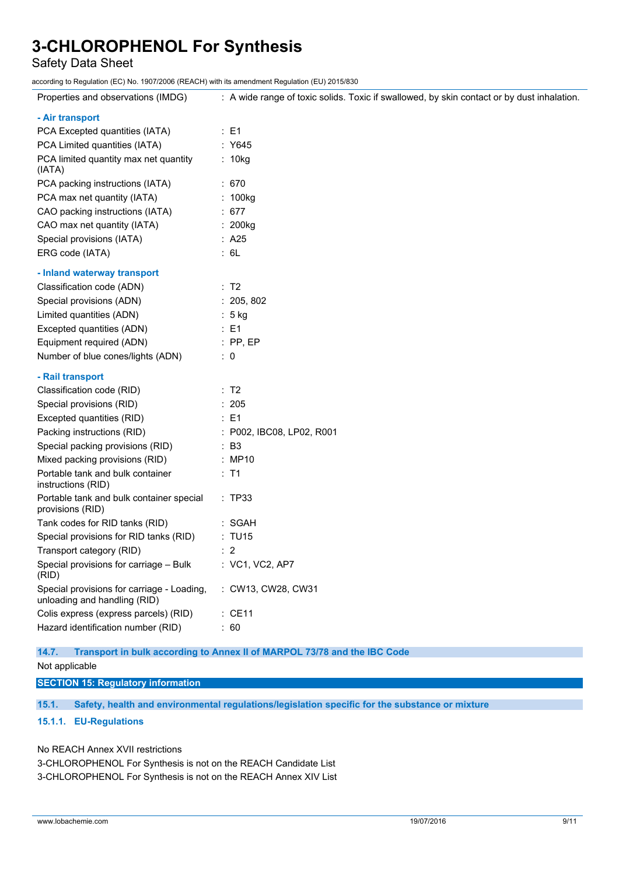Safety Data Sheet

according to Regulation (EC) No. 1907/2006 (REACH) with its amendment Regulation (EU) 2015/830

| Properties and observations (IMDG)                                         | : A wide range of toxic solids. Toxic if swallowed, by skin contact or by dust inhalation. |
|----------------------------------------------------------------------------|--------------------------------------------------------------------------------------------|
| - Air transport                                                            |                                                                                            |
| PCA Excepted quantities (IATA)                                             | $\therefore$ E1                                                                            |
| PCA Limited quantities (IATA)                                              | : Y645                                                                                     |
| PCA limited quantity max net quantity<br>(IATA)                            | : 10kg                                                                                     |
| PCA packing instructions (IATA)                                            | :670                                                                                       |
| PCA max net quantity (IATA)                                                | : 100kg                                                                                    |
| CAO packing instructions (IATA)                                            | : $677$                                                                                    |
| CAO max net quantity (IATA)                                                | : 200kg                                                                                    |
| Special provisions (IATA)                                                  | : A25                                                                                      |
| ERG code (IATA)                                                            | : 6L                                                                                       |
| - Inland waterway transport                                                |                                                                                            |
| Classification code (ADN)                                                  | : T2                                                                                       |
| Special provisions (ADN)                                                   | : 205, 802                                                                                 |
| Limited quantities (ADN)                                                   | $: 5$ kg                                                                                   |
| Excepted quantities (ADN)                                                  | $\therefore$ E1                                                                            |
| Equipment required (ADN)                                                   | $:$ PP, EP                                                                                 |
| Number of blue cones/lights (ADN)                                          | $\therefore$ 0                                                                             |
| - Rail transport                                                           |                                                                                            |
| Classification code (RID)                                                  | : T2                                                                                       |
| Special provisions (RID)                                                   | : 205                                                                                      |
| Excepted quantities (RID)                                                  | $\therefore$ E1                                                                            |
| Packing instructions (RID)                                                 | : P002, IBC08, LP02, R001                                                                  |
| Special packing provisions (RID)                                           | $\therefore$ B3                                                                            |
| Mixed packing provisions (RID)                                             | : MP10                                                                                     |
| Portable tank and bulk container<br>instructions (RID)                     | : T1                                                                                       |
| Portable tank and bulk container special<br>provisions (RID)               | : TP33                                                                                     |
| Tank codes for RID tanks (RID)                                             | : SGAH                                                                                     |
| Special provisions for RID tanks (RID)                                     | : TU15                                                                                     |
| Transport category (RID)                                                   | $\therefore$ 2                                                                             |
| Special provisions for carriage - Bulk<br>(RID)                            | $:$ VC1, VC2, AP7                                                                          |
| Special provisions for carriage - Loading,<br>unloading and handling (RID) | : CW13, CW28, CW31                                                                         |
| Colis express (express parcels) (RID)                                      | $\therefore$ CE11                                                                          |
| Hazard identification number (RID)                                         | : 60                                                                                       |

#### **14.7. Transport in bulk according to Annex II of MARPOL 73/78 and the IBC Code**

Not applicable

**SECTION 15: Regulatory information**

**15.1. Safety, health and environmental regulations/legislation specific for the substance or mixture**

### **15.1.1. EU-Regulations**

No REACH Annex XVII restrictions

3-CHLOROPHENOL For Synthesis is not on the REACH Candidate List 3-CHLOROPHENOL For Synthesis is not on the REACH Annex XIV List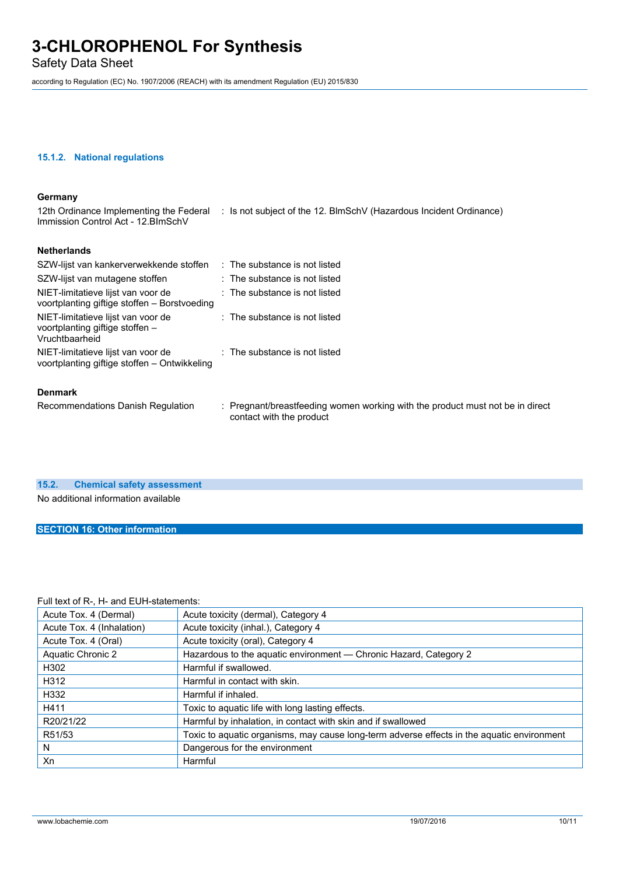Safety Data Sheet

according to Regulation (EC) No. 1907/2006 (REACH) with its amendment Regulation (EU) 2015/830

#### **15.1.2. National regulations**

### **Germany**

12th Ordinance Implementing the Federal : Is not subject of the 12. BlmSchV (Hazardous Incident Ordinance) Immission Control Act - 12.BImSchV

#### **Netherlands**

| SZW-lijst van kankerverwekkende stoffen                                                 | $\therefore$ The substance is not listed                                      |
|-----------------------------------------------------------------------------------------|-------------------------------------------------------------------------------|
| SZW-lijst van mutagene stoffen                                                          | $\therefore$ The substance is not listed                                      |
| NIET-limitatieve lijst van voor de<br>voortplanting giftige stoffen - Borstvoeding      | $\therefore$ The substance is not listed                                      |
| NIET-limitatieve lijst van voor de<br>voortplanting giftige stoffen –<br>Vruchtbaarheid | $\therefore$ The substance is not listed                                      |
| NIET-limitatieve lijst van voor de<br>voortplanting giftige stoffen – Ontwikkeling      | $\therefore$ The substance is not listed                                      |
| <b>Denmark</b>                                                                          |                                                                               |
| Recommendations Danish Regulation                                                       | : Pregnant/breastfeeding women working with the product must not be in direct |

contact with the product

### **15.2. Chemical safety assessment**

No additional information available

### **SECTION 16: Other information**

### Full text of R-, H- and EUH-statements:

| Acute Tox. 4 (Dermal)     | Acute toxicity (dermal), Category 4                                                        |
|---------------------------|--------------------------------------------------------------------------------------------|
| Acute Tox. 4 (Inhalation) | Acute toxicity (inhal.), Category 4                                                        |
| Acute Tox. 4 (Oral)       | Acute toxicity (oral), Category 4                                                          |
| <b>Aquatic Chronic 2</b>  | Hazardous to the aquatic environment - Chronic Hazard, Category 2                          |
| H302                      | Harmful if swallowed.                                                                      |
| H312                      | Harmful in contact with skin.                                                              |
| H332                      | Harmful if inhaled.                                                                        |
| H411                      | Toxic to aquatic life with long lasting effects.                                           |
| R20/21/22                 | Harmful by inhalation, in contact with skin and if swallowed                               |
| R51/53                    | Toxic to aquatic organisms, may cause long-term adverse effects in the aquatic environment |
| N                         | Dangerous for the environment                                                              |
| Xn                        | Harmful                                                                                    |